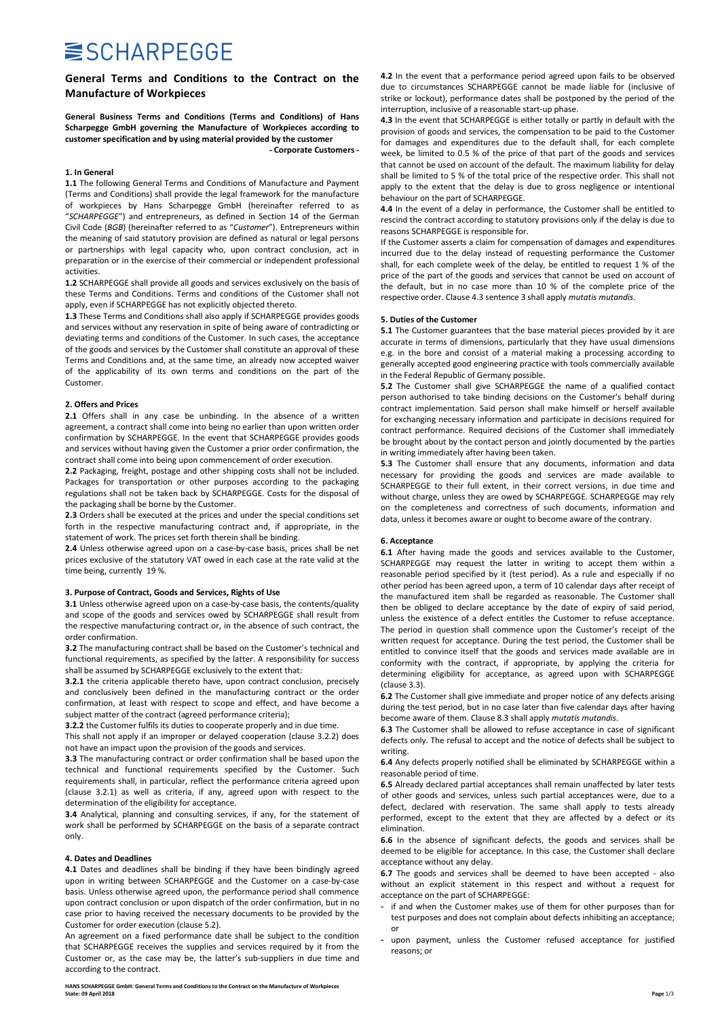# **SISCHARPEGGE**

### General Terms and Conditions to the Contract on the Manufacture of Workpieces

General Business Terms and Conditions (Terms and Conditions) of Hans Scharpegge GmbH governing the Manufacture of Workpieces according to customer specification and by using material provided by the customer - Corporate Customers -

### 1. In General

1.1 The following General Terms and Conditions of Manufacture and Payment (Terms and Conditions) shall provide the legal framework for the manufacture of workpieces by Hans Scharpegge GmbH (hereinafter referred to as "SCHARPEGGE") and entrepreneurs, as defined in Section 14 of the German Civil Code (BGB) (hereinafter referred to as "Customer"). Entrepreneurs within the meaning of said statutory provision are defined as natural or legal persons or partnerships with legal capacity who, upon contract conclusion, act in preparation or in the exercise of their commercial or independent professional activities.

1.2 SCHARPEGGE shall provide all goods and services exclusively on the basis of these Terms and Conditions. Terms and conditions of the Customer shall not apply, even if SCHARPEGGE has not explicitly objected thereto.

1.3 These Terms and Conditions shall also apply if SCHARPEGGE provides goods and services without any reservation in spite of being aware of contradicting or deviating terms and conditions of the Customer. In such cases, the acceptance of the goods and services by the Customer shall constitute an approval of these Terms and Conditions and, at the same time, an already now accepted waiver of the applicability of its own terms and conditions on the part of the Customer.

### 2. Offers and Prices

2.1 Offers shall in any case be unbinding. In the absence of a written agreement, a contract shall come into being no earlier than upon written order confirmation by SCHARPEGGE. In the event that SCHARPEGGE provides goods and services without having given the Customer a prior order confirmation, the contract shall come into being upon commencement of order execution.

2.2 Packaging, freight, postage and other shipping costs shall not be included. Packages for transportation or other purposes according to the packaging regulations shall not be taken back by SCHARPEGGE. Costs for the disposal of the packaging shall be borne by the Customer.

2.3 Orders shall be executed at the prices and under the special conditions set forth in the respective manufacturing contract and, if appropriate, in the statement of work. The prices set forth therein shall be binding.

2.4 Unless otherwise agreed upon on a case-by-case basis, prices shall be net prices exclusive of the statutory VAT owed in each case at the rate valid at the time being, currently 19 %.

### 3. Purpose of Contract, Goods and Services, Rights of Use

3.1 Unless otherwise agreed upon on a case-by-case basis, the contents/quality and scope of the goods and services owed by SCHARPEGGE shall result from the respective manufacturing contract or, in the absence of such contract, the order confirmation.

3.2 The manufacturing contract shall be based on the Customer's technical and functional requirements, as specified by the latter. A responsibility for success shall be assumed by SCHARPEGGE exclusively to the extent that:

3.2.1 the criteria applicable thereto have, upon contract conclusion, precisely and conclusively been defined in the manufacturing contract or the order confirmation, at least with respect to scope and effect, and have become a subject matter of the contract (agreed performance criteria);

3.2.2 the Customer fulfils its duties to cooperate properly and in due time.

This shall not apply if an improper or delayed cooperation (clause 3.2.2) does not have an impact upon the provision of the goods and services.

3.3 The manufacturing contract or order confirmation shall be based upon the technical and functional requirements specified by the Customer. Such requirements shall, in particular, reflect the performance criteria agreed upon (clause 3.2.1) as well as criteria, if any, agreed upon with respect to the determination of the eligibility for acceptance.

3.4 Analytical, planning and consulting services, if any, for the statement of work shall be performed by SCHARPEGGE on the basis of a separate contract only.

### 4. Dates and Deadlines

4.1 Dates and deadlines shall be binding if they have been bindingly agreed upon in writing between SCHARPEGGE and the Customer on a case-by-case basis. Unless otherwise agreed upon, the performance period shall commence upon contract conclusion or upon dispatch of the order confirmation, but in no case prior to having received the necessary documents to be provided by the Customer for order execution (clause 5.2).

An agreement on a fixed performance date shall be subject to the condition that SCHARPEGGE receives the supplies and services required by it from the Customer or, as the case may be, the latter's sub-suppliers in due time and according to the contract.

HANS SCHARPEGGE GmbH: General Terms and Conditions to the Contract on the Manufacture of Workpieces<br>State: 09 April 2018 State: 09 April 2018 Page 1/3

4.2 In the event that a performance period agreed upon fails to be observed due to circumstances SCHARPEGGE cannot be made liable for (inclusive of strike or lockout), performance dates shall be postponed by the period of the interruption, inclusive of a reasonable start-up phase.

4.3 In the event that SCHARPEGGE is either totally or partly in default with the provision of goods and services, the compensation to be paid to the Customer for damages and expenditures due to the default shall, for each complete week, be limited to 0.5 % of the price of that part of the goods and services that cannot be used on account of the default. The maximum liability for delay shall be limited to 5 % of the total price of the respective order. This shall not apply to the extent that the delay is due to gross negligence or intentional behaviour on the part of SCHARPEGGE.

4.4 In the event of a delay in performance, the Customer shall be entitled to rescind the contract according to statutory provisions only if the delay is due to reasons SCHARPEGGE is responsible for.

If the Customer asserts a claim for compensation of damages and expenditures incurred due to the delay instead of requesting performance the Customer shall, for each complete week of the delay, be entitled to request 1 % of the price of the part of the goods and services that cannot be used on account of the default, but in no case more than 10 % of the complete price of the respective order. Clause 4.3 sentence 3 shall apply mutatis mutandis.

### 5. Duties of the Customer

5.1 The Customer guarantees that the base material pieces provided by it are accurate in terms of dimensions, particularly that they have usual dimensions e.g. in the bore and consist of a material making a processing according to generally accepted good engineering practice with tools commercially available in the Federal Republic of Germany possible.

5.2 The Customer shall give SCHARPEGGE the name of a qualified contact person authorised to take binding decisions on the Customer's behalf during contract implementation. Said person shall make himself or herself available for exchanging necessary information and participate in decisions required for contract performance. Required decisions of the Customer shall immediately be brought about by the contact person and jointly documented by the parties in writing immediately after having been taken.

5.3 The Customer shall ensure that any documents, information and data necessary for providing the goods and services are made available to SCHARPEGGE to their full extent, in their correct versions, in due time and without charge, unless they are owed by SCHARPEGGE. SCHARPEGGE may rely on the completeness and correctness of such documents, information and data, unless it becomes aware or ought to become aware of the contrary.

#### 6. Acceptance

6.1 After having made the goods and services available to the Customer, SCHARPEGGE may request the latter in writing to accept them within a reasonable period specified by it (test period). As a rule and especially if no other period has been agreed upon, a term of 10 calendar days after receipt of the manufactured item shall be regarded as reasonable. The Customer shall then be obliged to declare acceptance by the date of expiry of said period, unless the existence of a defect entitles the Customer to refuse acceptance. The period in question shall commence upon the Customer's receipt of the written request for acceptance. During the test period, the Customer shall be entitled to convince itself that the goods and services made available are in conformity with the contract, if appropriate, by applying the criteria for determining eligibility for acceptance, as agreed upon with SCHARPEGGE (clause 3.3).

6.2 The Customer shall give immediate and proper notice of any defects arising during the test period, but in no case later than five calendar days after having become aware of them. Clause 8.3 shall apply mutatis mutandis.

6.3 The Customer shall be allowed to refuse acceptance in case of significant defects only. The refusal to accept and the notice of defects shall be subject to writing.

6.4 Any defects properly notified shall be eliminated by SCHARPEGGE within a reasonable period of time.

6.5 Already declared partial acceptances shall remain unaffected by later tests of other goods and services, unless such partial acceptances were, due to a defect, declared with reservation. The same shall apply to tests already performed, except to the extent that they are affected by a defect or its elimination.

6.6 In the absence of significant defects, the goods and services shall be deemed to be eligible for acceptance. In this case, the Customer shall declare acceptance without any delay.

6.7 The goods and services shall be deemed to have been accepted - also without an explicit statement in this respect and without a request for acceptance on the part of SCHARPEGGE:

- if and when the Customer makes use of them for other purposes than for test purposes and does not complain about defects inhibiting an acceptance; or
- upon payment, unless the Customer refused acceptance for justified reasons; or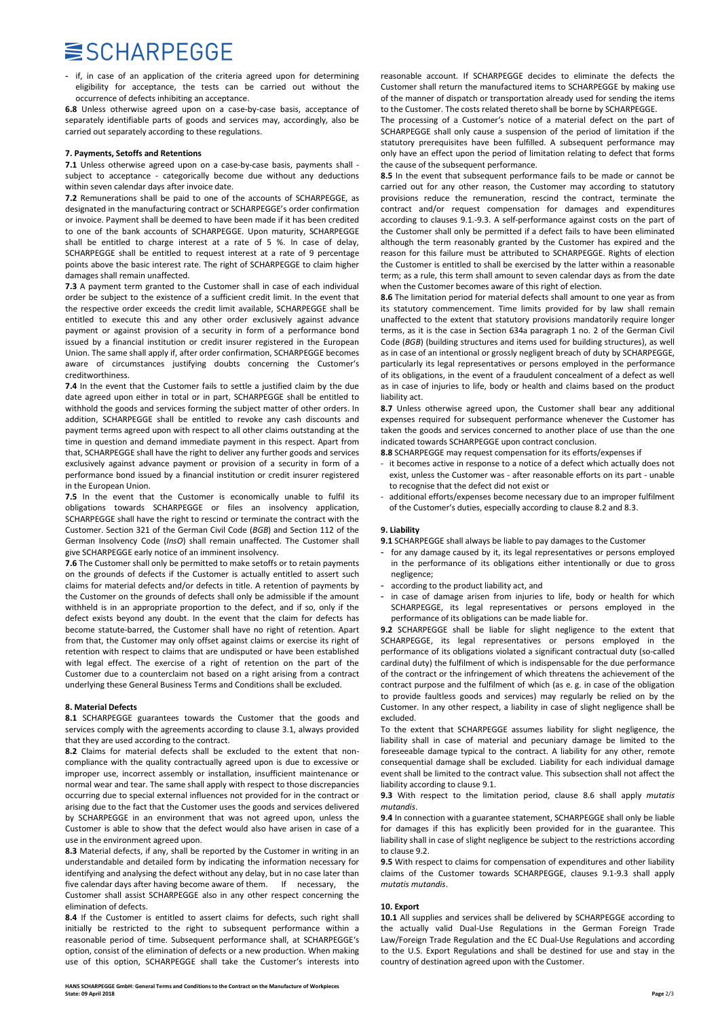# **SISCHARPEGGE**

- if, in case of an application of the criteria agreed upon for determining eligibility for acceptance, the tests can be carried out without the occurrence of defects inhibiting an acceptance.

6.8 Unless otherwise agreed upon on a case-by-case basis, acceptance of separately identifiable parts of goods and services may, accordingly, also be carried out separately according to these regulations.

### 7. Payments, Setoffs and Retentions

7.1 Unless otherwise agreed upon on a case-by-case basis, payments shall subject to acceptance - categorically become due without any deductions within seven calendar days after invoice date.

7.2 Remunerations shall be paid to one of the accounts of SCHARPEGGE, as designated in the manufacturing contract or SCHARPEGGE's order confirmation or invoice. Payment shall be deemed to have been made if it has been credited to one of the bank accounts of SCHARPEGGE. Upon maturity, SCHARPEGGE shall be entitled to charge interest at a rate of 5 %. In case of delay, SCHARPEGGE shall be entitled to request interest at a rate of 9 percentage points above the basic interest rate. The right of SCHARPEGGE to claim higher damages shall remain unaffected.

7.3 A payment term granted to the Customer shall in case of each individual order be subject to the existence of a sufficient credit limit. In the event that the respective order exceeds the credit limit available, SCHARPEGGE shall be entitled to execute this and any other order exclusively against advance payment or against provision of a security in form of a performance bond issued by a financial institution or credit insurer registered in the European Union. The same shall apply if, after order confirmation, SCHARPEGGE becomes aware of circumstances justifying doubts concerning the Customer's creditworthiness.

7.4 In the event that the Customer fails to settle a justified claim by the due date agreed upon either in total or in part, SCHARPEGGE shall be entitled to withhold the goods and services forming the subject matter of other orders. In addition, SCHARPEGGE shall be entitled to revoke any cash discounts and payment terms agreed upon with respect to all other claims outstanding at the time in question and demand immediate payment in this respect. Apart from that, SCHARPEGGE shall have the right to deliver any further goods and services exclusively against advance payment or provision of a security in form of a performance bond issued by a financial institution or credit insurer registered in the European Union.

7.5 In the event that the Customer is economically unable to fulfil its obligations towards SCHARPEGGE or files an insolvency application, SCHARPEGGE shall have the right to rescind or terminate the contract with the Customer. Section 321 of the German Civil Code (BGB) and Section 112 of the German Insolvency Code (InsO) shall remain unaffected. The Customer shall give SCHARPEGGE early notice of an imminent insolvency.

7.6 The Customer shall only be permitted to make setoffs or to retain payments on the grounds of defects if the Customer is actually entitled to assert such claims for material defects and/or defects in title. A retention of payments by the Customer on the grounds of defects shall only be admissible if the amount withheld is in an appropriate proportion to the defect, and if so, only if the defect exists beyond any doubt. In the event that the claim for defects has become statute-barred, the Customer shall have no right of retention. Apart from that, the Customer may only offset against claims or exercise its right of retention with respect to claims that are undisputed or have been established with legal effect. The exercise of a right of retention on the part of the Customer due to a counterclaim not based on a right arising from a contract underlying these General Business Terms and Conditions shall be excluded.

### 8. Material Defects

8.1 SCHARPEGGE guarantees towards the Customer that the goods and services comply with the agreements according to clause 3.1, always provided that they are used according to the contract.

8.2 Claims for material defects shall be excluded to the extent that noncompliance with the quality contractually agreed upon is due to excessive or improper use, incorrect assembly or installation, insufficient maintenance or normal wear and tear. The same shall apply with respect to those discrepancies occurring due to special external influences not provided for in the contract or arising due to the fact that the Customer uses the goods and services delivered by SCHARPEGGE in an environment that was not agreed upon, unless the Customer is able to show that the defect would also have arisen in case of a use in the environment agreed upon.

8.3 Material defects, if any, shall be reported by the Customer in writing in an understandable and detailed form by indicating the information necessary for identifying and analysing the defect without any delay, but in no case later than five calendar days after having become aware of them. If necessary, the Customer shall assist SCHARPEGGE also in any other respect concerning the elimination of defects.

8.4 If the Customer is entitled to assert claims for defects, such right shall initially be restricted to the right to subsequent performance within a reasonable period of time. Subsequent performance shall, at SCHARPEGGE's option, consist of the elimination of defects or a new production. When making use of this option, SCHARPEGGE shall take the Customer's interests into reasonable account. If SCHARPEGGE decides to eliminate the defects the Customer shall return the manufactured items to SCHARPEGGE by making use of the manner of dispatch or transportation already used for sending the items to the Customer. The costs related thereto shall be borne by SCHARPEGGE.

The processing of a Customer's notice of a material defect on the part of SCHARPEGGE shall only cause a suspension of the period of limitation if the statutory prerequisites have been fulfilled. A subsequent performance may only have an effect upon the period of limitation relating to defect that forms the cause of the subsequent performance.

8.5 In the event that subsequent performance fails to be made or cannot be carried out for any other reason, the Customer may according to statutory provisions reduce the remuneration, rescind the contract, terminate the contract and/or request compensation for damages and expenditures according to clauses 9.1.-9.3. A self-performance against costs on the part of the Customer shall only be permitted if a defect fails to have been eliminated although the term reasonably granted by the Customer has expired and the reason for this failure must be attributed to SCHARPEGGE. Rights of election the Customer is entitled to shall be exercised by the latter within a reasonable term; as a rule, this term shall amount to seven calendar days as from the date when the Customer becomes aware of this right of election.

8.6 The limitation period for material defects shall amount to one year as from its statutory commencement. Time limits provided for by law shall remain unaffected to the extent that statutory provisions mandatorily require longer terms, as it is the case in Section 634a paragraph 1 no. 2 of the German Civil Code (BGB) (building structures and items used for building structures), as well as in case of an intentional or grossly negligent breach of duty by SCHARPEGGE, particularly its legal representatives or persons employed in the performance of its obligations, in the event of a fraudulent concealment of a defect as well as in case of injuries to life, body or health and claims based on the product liability act.

8.7 Unless otherwise agreed upon, the Customer shall bear any additional expenses required for subsequent performance whenever the Customer has taken the goods and services concerned to another place of use than the one indicated towards SCHARPEGGE upon contract conclusion.

8.8 SCHARPEGGE may request compensation for its efforts/expenses if

- it becomes active in response to a notice of a defect which actually does not exist, unless the Customer was - after reasonable efforts on its part - unable to recognise that the defect did not exist or
- additional efforts/expenses become necessary due to an improper fulfilment of the Customer's duties, especially according to clause 8.2 and 8.3.

### 9. Liability

9.1 SCHARPEGGE shall always be liable to pay damages to the Customer

- for any damage caused by it, its legal representatives or persons employed in the performance of its obligations either intentionally or due to gross negligence;
- according to the product liability act, and
- in case of damage arisen from injuries to life, body or health for which SCHARPEGGE, its legal representatives or persons employed in the performance of its obligations can be made liable for.

9.2 SCHARPEGGE shall be liable for slight negligence to the extent that SCHARPEGGE, its legal representatives or persons employed in the performance of its obligations violated a significant contractual duty (so-called cardinal duty) the fulfilment of which is indispensable for the due performance of the contract or the infringement of which threatens the achievement of the contract purpose and the fulfilment of which (as e. g. in case of the obligation to provide faultless goods and services) may regularly be relied on by the Customer. In any other respect, a liability in case of slight negligence shall be excluded.

To the extent that SCHARPEGGE assumes liability for slight negligence, the liability shall in case of material and pecuniary damage be limited to the foreseeable damage typical to the contract. A liability for any other, remote consequential damage shall be excluded. Liability for each individual damage event shall be limited to the contract value. This subsection shall not affect the liability according to clause 9.1.

9.3 With respect to the limitation period, clause 8.6 shall apply mutatis mutandis.

9.4 In connection with a guarantee statement, SCHARPEGGE shall only be liable for damages if this has explicitly been provided for in the guarantee. This liability shall in case of slight negligence be subject to the restrictions according to clause 9.2.

9.5 With respect to claims for compensation of expenditures and other liability claims of the Customer towards SCHARPEGGE, clauses 9.1-9.3 shall apply mutatis mutandis.

### 10. Export

10.1 All supplies and services shall be delivered by SCHARPEGGE according to the actually valid Dual-Use Regulations in the German Foreign Trade Law/Foreign Trade Regulation and the EC Dual-Use Regulations and according to the U.S. Export Regulations and shall be destined for use and stay in the country of destination agreed upon with the Customer.